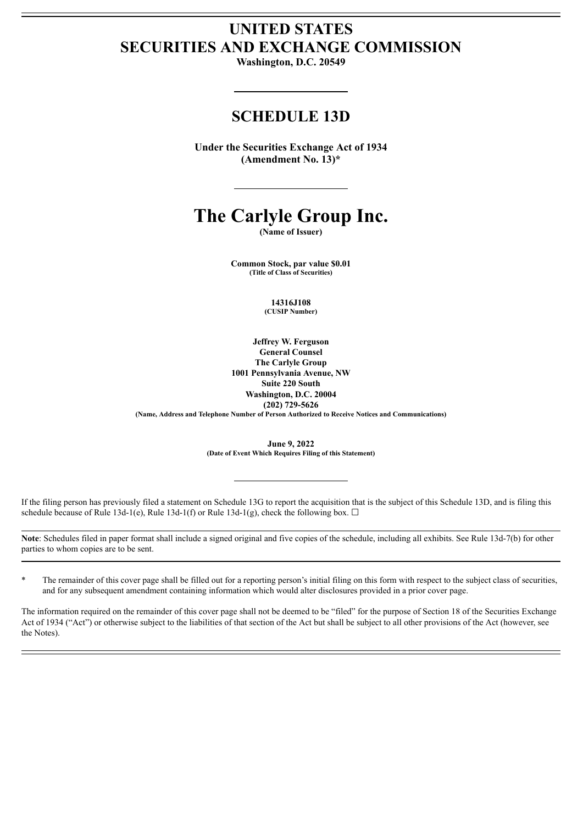# **UNITED STATES SECURITIES AND EXCHANGE COMMISSION**

**Washington, D.C. 20549**

## **SCHEDULE 13D**

**Under the Securities Exchange Act of 1934 (Amendment No. 13)\***

# **The Carlyle Group Inc.**

**(Name of Issuer)**

**Common Stock, par value \$0.01 (Title of Class of Securities)**

> **14316J108 (CUSIP Number)**

**Jeffrey W. Ferguson General Counsel The Carlyle Group 1001 Pennsylvania Avenue, NW Suite 220 South Washington, D.C. 20004 (202) 729-5626 (Name, Address and Telephone Number of Person Authorized to Receive Notices and Communications)**

> **June 9, 2022 (Date of Event Which Requires Filing of this Statement)**

If the filing person has previously filed a statement on Schedule 13G to report the acquisition that is the subject of this Schedule 13D, and is filing this schedule because of Rule 13d-1(e), Rule 13d-1(f) or Rule 13d-1(g), check the following box.  $\Box$ 

**Note**: Schedules filed in paper format shall include a signed original and five copies of the schedule, including all exhibits. See Rule 13d-7(b) for other parties to whom copies are to be sent.

\* The remainder of this cover page shall be filled out for a reporting person's initial filing on this form with respect to the subject class of securities, and for any subsequent amendment containing information which would alter disclosures provided in a prior cover page.

The information required on the remainder of this cover page shall not be deemed to be "filed" for the purpose of Section 18 of the Securities Exchange Act of 1934 ("Act") or otherwise subject to the liabilities of that section of the Act but shall be subject to all other provisions of the Act (however, see the Notes).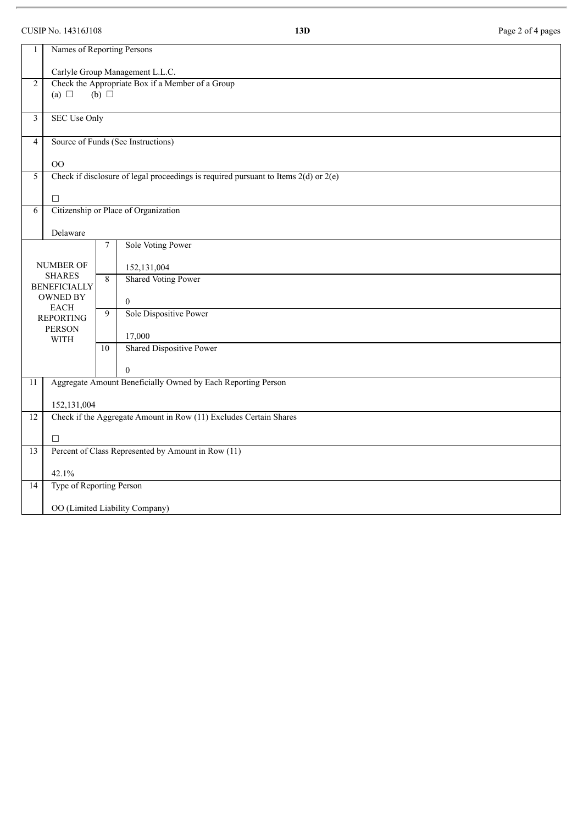### CUSIP No. 14316J108 **13D** Page 2 of 4 pages

| 1                               | Names of Reporting Persons                                                              |                |                                 |  |  |  |  |  |  |
|---------------------------------|-----------------------------------------------------------------------------------------|----------------|---------------------------------|--|--|--|--|--|--|
|                                 | Carlyle Group Management L.L.C.                                                         |                |                                 |  |  |  |  |  |  |
| $\overline{2}$                  | Check the Appropriate Box if a Member of a Group<br>(a) $\Box$<br>$(b)$ $\square$       |                |                                 |  |  |  |  |  |  |
| 3                               | <b>SEC Use Only</b>                                                                     |                |                                 |  |  |  |  |  |  |
| $\overline{4}$                  | Source of Funds (See Instructions)                                                      |                |                                 |  |  |  |  |  |  |
|                                 | O <sub>O</sub>                                                                          |                |                                 |  |  |  |  |  |  |
| 5                               | Check if disclosure of legal proceedings is required pursuant to Items $2(d)$ or $2(e)$ |                |                                 |  |  |  |  |  |  |
|                                 | $\Box$                                                                                  |                |                                 |  |  |  |  |  |  |
| $\overline{6}$                  | Citizenship or Place of Organization                                                    |                |                                 |  |  |  |  |  |  |
|                                 | Delaware                                                                                |                |                                 |  |  |  |  |  |  |
|                                 |                                                                                         | $\overline{7}$ | Sole Voting Power               |  |  |  |  |  |  |
| <b>NUMBER OF</b>                |                                                                                         |                | 152,131,004                     |  |  |  |  |  |  |
|                                 | <b>SHARES</b><br><b>BENEFICIALLY</b>                                                    |                | <b>Shared Voting Power</b>      |  |  |  |  |  |  |
| <b>OWNED BY</b>                 |                                                                                         |                | $\overline{0}$                  |  |  |  |  |  |  |
| <b>EACH</b><br><b>REPORTING</b> |                                                                                         | $\overline{9}$ | Sole Dispositive Power          |  |  |  |  |  |  |
| <b>PERSON</b><br><b>WITH</b>    |                                                                                         |                | 17,000                          |  |  |  |  |  |  |
|                                 |                                                                                         | 10             | <b>Shared Dispositive Power</b> |  |  |  |  |  |  |
|                                 |                                                                                         |                | $\mathbf{0}$                    |  |  |  |  |  |  |
| 11                              | Aggregate Amount Beneficially Owned by Each Reporting Person                            |                |                                 |  |  |  |  |  |  |
|                                 | 152,131,004                                                                             |                |                                 |  |  |  |  |  |  |
| $\overline{12}$                 | Check if the Aggregate Amount in Row (11) Excludes Certain Shares                       |                |                                 |  |  |  |  |  |  |
|                                 | $\Box$                                                                                  |                |                                 |  |  |  |  |  |  |
| 13                              | Percent of Class Represented by Amount in Row (11)                                      |                |                                 |  |  |  |  |  |  |
|                                 | 42.1%                                                                                   |                |                                 |  |  |  |  |  |  |
| $\overline{14}$                 | Type of Reporting Person                                                                |                |                                 |  |  |  |  |  |  |
|                                 |                                                                                         |                |                                 |  |  |  |  |  |  |
|                                 | OO (Limited Liability Company)                                                          |                |                                 |  |  |  |  |  |  |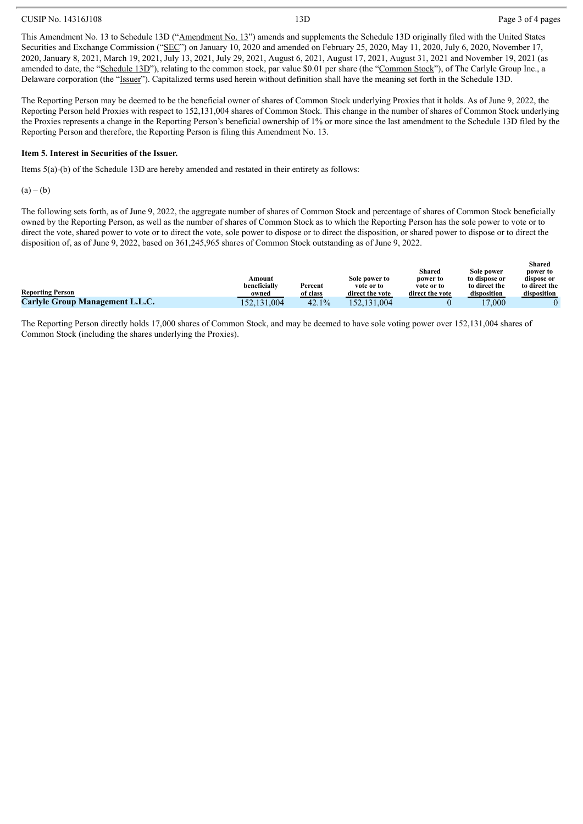#### CUSIP No. 14316J108 Page 3 of 4 pages

This Amendment No. 13 to Schedule 13D ("Amendment No. 13") amends and supplements the Schedule 13D originally filed with the United States Securities and Exchange Commission ("SEC") on January 10, 2020 and amended on February 25, 2020, May 11, 2020, July 6, 2020, November 17, 2020, January 8, 2021, March 19, 2021, July 13, 2021, July 29, 2021, August 6, 2021, August 17, 2021, August 31, 2021 and November 19, 2021 (as amended to date, the "Schedule 13D"), relating to the common stock, par value \$0.01 per share (the "Common Stock"), of The Carlyle Group Inc., a Delaware corporation (the "Issuer"). Capitalized terms used herein without definition shall have the meaning set forth in the Schedule 13D.

The Reporting Person may be deemed to be the beneficial owner of shares of Common Stock underlying Proxies that it holds. As of June 9, 2022, the Reporting Person held Proxies with respect to 152,131,004 shares of Common Stock. This change in the number of shares of Common Stock underlying the Proxies represents a change in the Reporting Person's beneficial ownership of 1% or more since the last amendment to the Schedule 13D filed by the Reporting Person and therefore, the Reporting Person is filing this Amendment No. 13.

#### **Item 5. Interest in Securities of the Issuer.**

Items 5(a)-(b) of the Schedule 13D are hereby amended and restated in their entirety as follows:

 $(a) - (b)$ 

The following sets forth, as of June 9, 2022, the aggregate number of shares of Common Stock and percentage of shares of Common Stock beneficially owned by the Reporting Person, as well as the number of shares of Common Stock as to which the Reporting Person has the sole power to vote or to direct the vote, shared power to vote or to direct the vote, sole power to dispose or to direct the disposition, or shared power to dispose or to direct the disposition of, as of June 9, 2022, based on 361,245,965 shares of Common Stock outstanding as of June 9, 2022.

|                                        |              |              |                 |                 |                       | энагсч        |
|----------------------------------------|--------------|--------------|-----------------|-----------------|-----------------------|---------------|
|                                        |              |              |                 | Shared          | Sole power            | power to      |
|                                        | Amount       |              | Sole power to   | power to        | to dispose or         | dispose or    |
|                                        | beneficially | Percent      | vote or to      | vote or to      | to direct the         | to direct the |
| <b>Reporting Person</b>                | owned        | of class     | direct the vote | direct the vote | disposition           | disposition   |
| <b>Carlyle Group Management L.L.C.</b> | 152.131.004  | 42.<br>$1\%$ | しぐつ<br>1.004    |                 | 000<br>$\overline{ }$ |               |

The Reporting Person directly holds 17,000 shares of Common Stock, and may be deemed to have sole voting power over 152,131,004 shares of Common Stock (including the shares underlying the Proxies).

 $\mathbf{S}$ **S**  $\mathbf{S}$